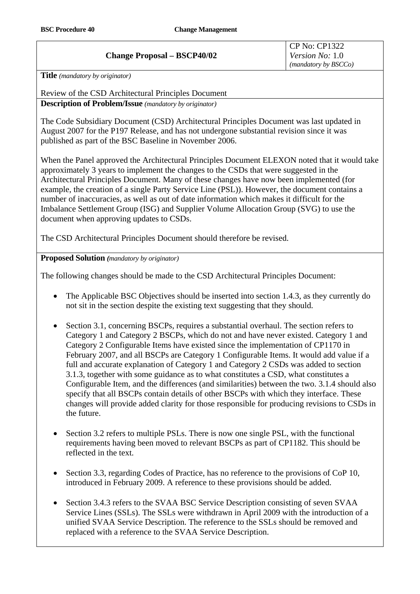## **Change Proposal – BSCP40/02**

**Title** *(mandatory by originator)* 

Review of the CSD Architectural Principles Document **Description of Problem/Issue** *(mandatory by originator)* 

The Code Subsidiary Document (CSD) Architectural Principles Document was last updated in August 2007 for the P197 Release, and has not undergone substantial revision since it was published as part of the BSC Baseline in November 2006.

When the Panel approved the Architectural Principles Document ELEXON noted that it would take approximately 3 years to implement the changes to the CSDs that were suggested in the Architectural Principles Document. Many of these changes have now been implemented (for example, the creation of a single Party Service Line (PSL)). However, the document contains a number of inaccuracies, as well as out of date information which makes it difficult for the Imbalance Settlement Group (ISG) and Supplier Volume Allocation Group (SVG) to use the document when approving updates to CSDs.

The CSD Architectural Principles Document should therefore be revised.

## **Proposed Solution** *(mandatory by originator)*

The following changes should be made to the CSD Architectural Principles Document:

- The Applicable BSC Objectives should be inserted into section 1.4.3, as they currently do not sit in the section despite the existing text suggesting that they should.
- Section 3.1, concerning BSCPs, requires a substantial overhaul. The section refers to Category 1 and Category 2 BSCPs, which do not and have never existed. Category 1 and Category 2 Configurable Items have existed since the implementation of CP1170 in February 2007, and all BSCPs are Category 1 Configurable Items. It would add value if a full and accurate explanation of Category 1 and Category 2 CSDs was added to section 3.1.3, together with some guidance as to what constitutes a CSD, what constitutes a Configurable Item, and the differences (and similarities) between the two. 3.1.4 should also specify that all BSCPs contain details of other BSCPs with which they interface. These changes will provide added clarity for those responsible for producing revisions to CSDs in the future.
- Section 3.2 refers to multiple PSLs. There is now one single PSL, with the functional requirements having been moved to relevant BSCPs as part of CP1182. This should be reflected in the text.
- Section 3.3, regarding Codes of Practice, has no reference to the provisions of CoP 10, introduced in February 2009. A reference to these provisions should be added.
- Section 3.4.3 refers to the SVAA BSC Service Description consisting of seven SVAA Service Lines (SSLs). The SSLs were withdrawn in April 2009 with the introduction of a unified SVAA Service Description. The reference to the SSLs should be removed and replaced with a reference to the SVAA Service Description.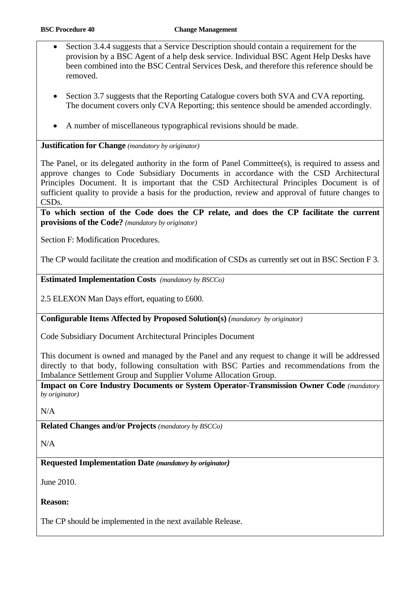- Section 3.4.4 suggests that a Service Description should contain a requirement for the provision by a BSC Agent of a help desk service. Individual BSC Agent Help Desks have been combined into the BSC Central Services Desk, and therefore this reference should be removed.
- Section 3.7 suggests that the Reporting Catalogue covers both SVA and CVA reporting. The document covers only CVA Reporting; this sentence should be amended accordingly.
- A number of miscellaneous typographical revisions should be made.

**Justification for Change** *(mandatory by originator)* 

The Panel, or its delegated authority in the form of Panel Committee(s), is required to assess and approve changes to Code Subsidiary Documents in accordance with the CSD Architectural Principles Document. It is important that the CSD Architectural Principles Document is of sufficient quality to provide a basis for the production, review and approval of future changes to CSDs.

**To which section of the Code does the CP relate, and does the CP facilitate the current provisions of the Code?** *(mandatory by originator)* 

Section F: Modification Procedures.

The CP would facilitate the creation and modification of CSDs as currently set out in BSC Section F 3.

**Estimated Implementation Costs** *(mandatory by BSCCo)* 

2.5 ELEXON Man Days effort, equating to £600.

**Configurable Items Affected by Proposed Solution(s)** *(mandatory by originator)* 

Code Subsidiary Document Architectural Principles Document

This document is owned and managed by the Panel and any request to change it will be addressed directly to that body, following consultation with BSC Parties and recommendations from the Imbalance Settlement Group and Supplier Volume Allocation Group.

**Impact on Core Industry Documents or System Operator-Transmission Owner Code** *(mandatory by originator)* 

N/A

**Related Changes and/or Projects** *(mandatory by BSCCo)* 

N/A

**Requested Implementation Date** *(mandatory by originator)* 

June 2010.

**Reason:** 

The CP should be implemented in the next available Release.